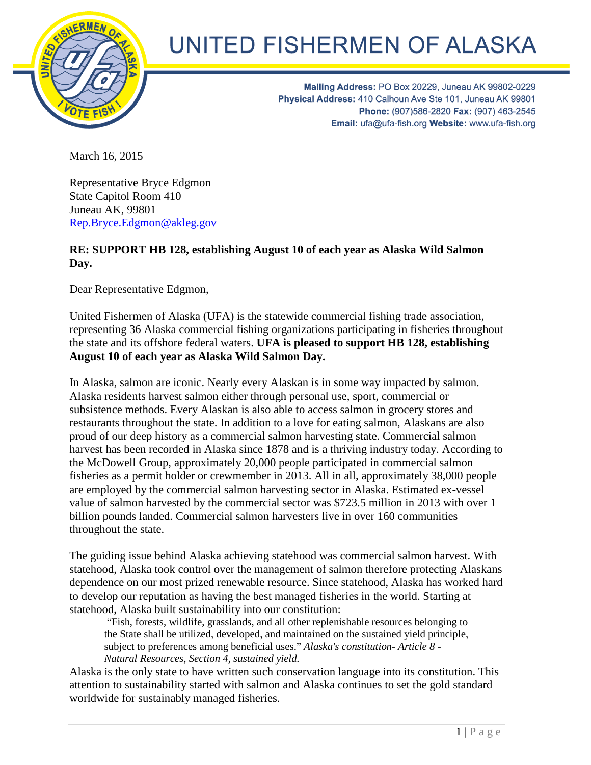

## UNITED FISHERMEN OF ALASKA

Mailing Address: PO Box 20229, Juneau AK 99802-0229 Physical Address: 410 Calhoun Ave Ste 101, Juneau AK 99801 Phone: (907)586-2820 Fax: (907) 463-2545 Email: ufa@ufa-fish.org Website: www.ufa-fish.org

March 16, 2015

Representative Bryce Edgmon State Capitol Room 410 Juneau AK, 99801 [Rep.Bryce.Edgmon@akleg.gov](mailto:Representative.Bryce.Edgmon@akleg.gov)

## **RE: SUPPORT HB 128, establishing August 10 of each year as Alaska Wild Salmon Day.**

Dear Representative Edgmon,

United Fishermen of Alaska (UFA) is the statewide commercial fishing trade association, representing 36 Alaska commercial fishing organizations participating in fisheries throughout the state and its offshore federal waters. **UFA is pleased to support HB 128, establishing August 10 of each year as Alaska Wild Salmon Day.**

In Alaska, salmon are iconic. Nearly every Alaskan is in some way impacted by salmon. Alaska residents harvest salmon either through personal use, sport, commercial or subsistence methods. Every Alaskan is also able to access salmon in grocery stores and restaurants throughout the state. In addition to a love for eating salmon, Alaskans are also proud of our deep history as a commercial salmon harvesting state. Commercial salmon harvest has been recorded in Alaska since 1878 and is a thriving industry today. According to the McDowell Group, approximately 20,000 people participated in commercial salmon fisheries as a permit holder or crewmember in 2013. All in all, approximately 38,000 people are employed by the commercial salmon harvesting sector in Alaska. Estimated ex-vessel value of salmon harvested by the commercial sector was \$723.5 million in 2013 with over 1 billion pounds landed. Commercial salmon harvesters live in over 160 communities throughout the state.

The guiding issue behind Alaska achieving statehood was commercial salmon harvest. With statehood, Alaska took control over the management of salmon therefore protecting Alaskans dependence on our most prized renewable resource. Since statehood, Alaska has worked hard to develop our reputation as having the best managed fisheries in the world. Starting at statehood, Alaska built sustainability into our constitution:

"Fish, forests, wildlife, grasslands, and all other replenishable resources belonging to the State shall be utilized, developed, and maintained on the sustained yield principle, subject to preferences among beneficial uses." *Alaska's constitution- Article 8 - Natural Resources, Section 4, sustained yield.* 

Alaska is the only state to have written such conservation language into its constitution. This attention to sustainability started with salmon and Alaska continues to set the gold standard worldwide for sustainably managed fisheries.